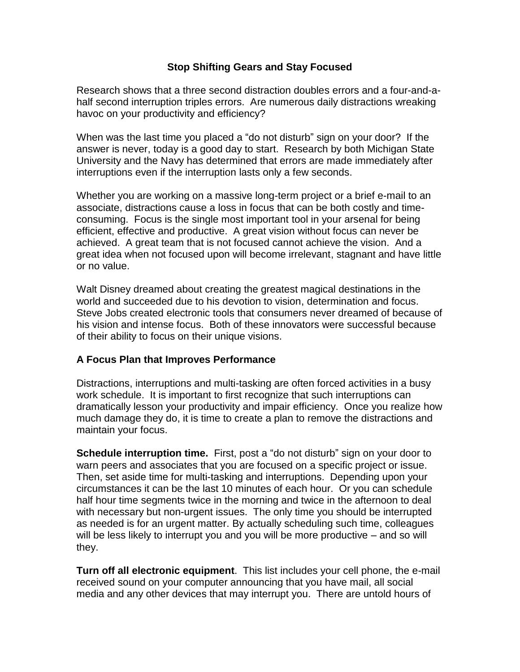## **Stop Shifting Gears and Stay Focused**

Research shows that a three second distraction doubles errors and a four-and-ahalf second interruption triples errors. Are numerous daily distractions wreaking havoc on your productivity and efficiency?

When was the last time you placed a "do not disturb" sign on your door? If the answer is never, today is a good day to start. Research by both Michigan State University and the Navy has determined that errors are made immediately after interruptions even if the interruption lasts only a few seconds.

Whether you are working on a massive long-term project or a brief e-mail to an associate, distractions cause a loss in focus that can be both costly and timeconsuming. Focus is the single most important tool in your arsenal for being efficient, effective and productive. A great vision without focus can never be achieved. A great team that is not focused cannot achieve the vision. And a great idea when not focused upon will become irrelevant, stagnant and have little or no value.

Walt Disney dreamed about creating the greatest magical destinations in the world and succeeded due to his devotion to vision, determination and focus. Steve Jobs created electronic tools that consumers never dreamed of because of his vision and intense focus. Both of these innovators were successful because of their ability to focus on their unique visions.

## **A Focus Plan that Improves Performance**

Distractions, interruptions and multi-tasking are often forced activities in a busy work schedule. It is important to first recognize that such interruptions can dramatically lesson your productivity and impair efficiency. Once you realize how much damage they do, it is time to create a plan to remove the distractions and maintain your focus.

**Schedule interruption time.** First, post a "do not disturb" sign on your door to warn peers and associates that you are focused on a specific project or issue. Then, set aside time for multi-tasking and interruptions. Depending upon your circumstances it can be the last 10 minutes of each hour. Or you can schedule half hour time segments twice in the morning and twice in the afternoon to deal with necessary but non-urgent issues. The only time you should be interrupted as needed is for an urgent matter. By actually scheduling such time, colleagues will be less likely to interrupt you and you will be more productive – and so will they.

**Turn off all electronic equipment**. This list includes your cell phone, the e-mail received sound on your computer announcing that you have mail, all social media and any other devices that may interrupt you. There are untold hours of